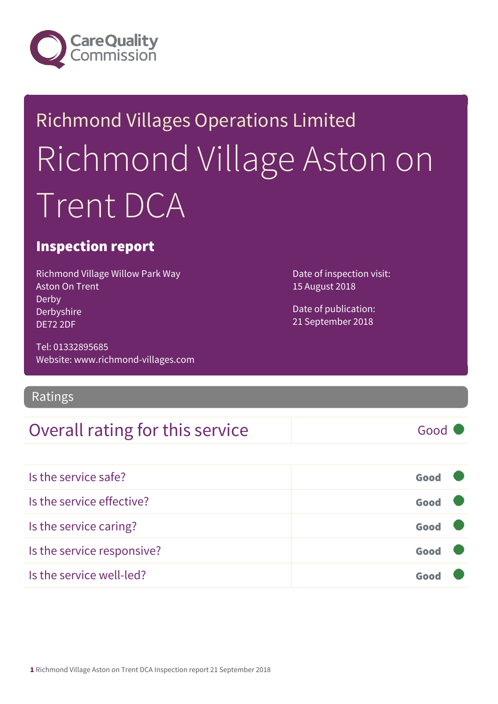

# Richmond Villages Operations Limited Richmond Village Aston on Trent DCA

#### Inspection report

Richmond Village Willow Park Way Aston On Trent Derby Derbyshire DE72 2DF

Tel: 01332895685 Website: www.richmond-villages.com

Ratings

#### Overall rating for this service Fig. 600 Good

Date of inspection visit: 15 August 2018

Date of publication: 21 September 2018

| Is the service safe?       | Good |  |
|----------------------------|------|--|
| Is the service effective?  | Good |  |
| Is the service caring?     | Good |  |
| Is the service responsive? | Good |  |
| Is the service well-led?   |      |  |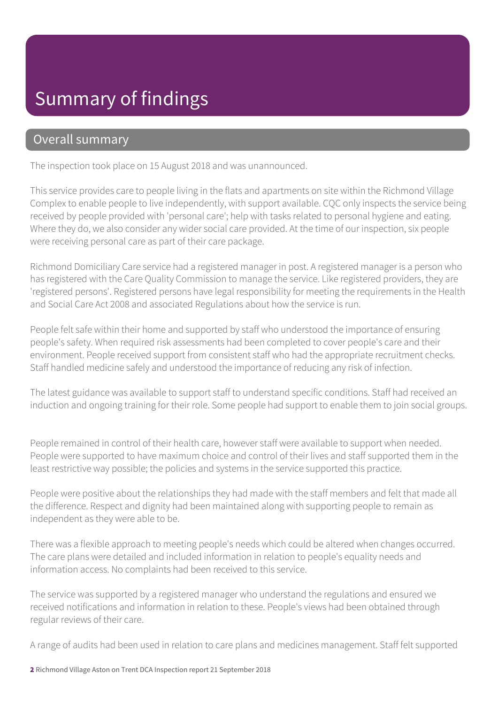#### Summary of findings

#### Overall summary

The inspection took place on 15 August 2018 and was unannounced.

This service provides care to people living in the flats and apartments on site within the Richmond Village Complex to enable people to live independently, with support available. CQC only inspects the service being received by people provided with 'personal care'; help with tasks related to personal hygiene and eating. Where they do, we also consider any wider social care provided. At the time of our inspection, six people were receiving personal care as part of their care package.

Richmond Domiciliary Care service had a registered manager in post. A registered manager is a person who has registered with the Care Quality Commission to manage the service. Like registered providers, they are 'registered persons'. Registered persons have legal responsibility for meeting the requirements in the Health and Social Care Act 2008 and associated Regulations about how the service is run.

People felt safe within their home and supported by staff who understood the importance of ensuring people's safety. When required risk assessments had been completed to cover people's care and their environment. People received support from consistent staff who had the appropriate recruitment checks. Staff handled medicine safely and understood the importance of reducing any risk of infection.

The latest guidance was available to support staff to understand specific conditions. Staff had received an induction and ongoing training for their role. Some people had support to enable them to join social groups.

People remained in control of their health care, however staff were available to support when needed. People were supported to have maximum choice and control of their lives and staff supported them in the least restrictive way possible; the policies and systems in the service supported this practice.

People were positive about the relationships they had made with the staff members and felt that made all the difference. Respect and dignity had been maintained along with supporting people to remain as independent as they were able to be.

There was a flexible approach to meeting people's needs which could be altered when changes occurred. The care plans were detailed and included information in relation to people's equality needs and information access. No complaints had been received to this service.

The service was supported by a registered manager who understand the regulations and ensured we received notifications and information in relation to these. People's views had been obtained through regular reviews of their care.

A range of audits had been used in relation to care plans and medicines management. Staff felt supported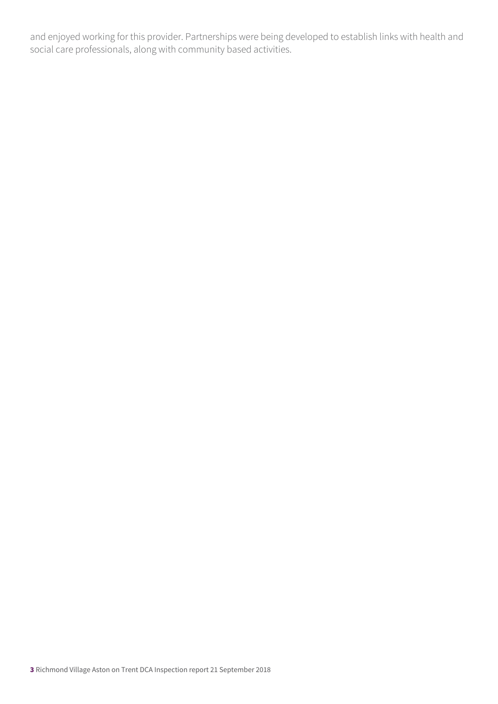and enjoyed working for this provider. Partnerships were being developed to establish links with health and social care professionals, along with community based activities.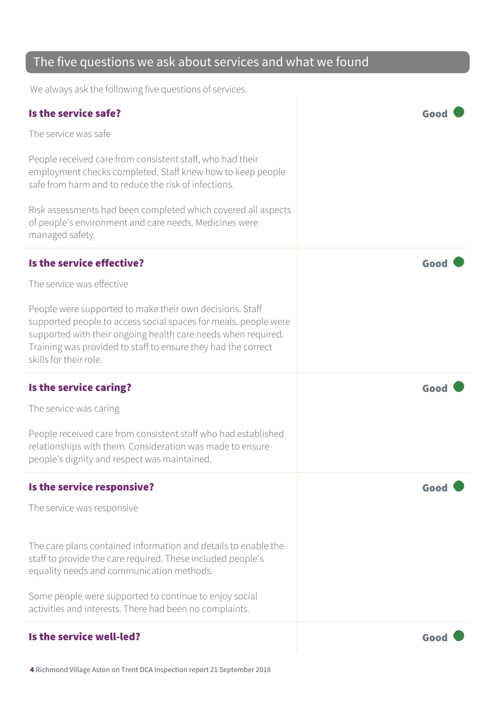#### The five questions we ask about services and what we found

We always ask the following five questions of services.

| Is the service safe?                                                                                                                                                                                                                                                                    | Goo  |
|-----------------------------------------------------------------------------------------------------------------------------------------------------------------------------------------------------------------------------------------------------------------------------------------|------|
| The service was safe                                                                                                                                                                                                                                                                    |      |
| People received care from consistent staff, who had their<br>employment checks completed. Staff knew how to keep people<br>safe from harm and to reduce the risk of infections.                                                                                                         |      |
| Risk assessments had been completed which covered all aspects<br>of people's environment and care needs. Medicines were<br>managed safety.                                                                                                                                              |      |
| Is the service effective?                                                                                                                                                                                                                                                               | Good |
| The service was effective                                                                                                                                                                                                                                                               |      |
| People were supported to make their own decisions. Staff<br>supported people to access social spaces for meals. people were<br>supported with their ongoing health care needs when required.<br>Training was provided to staff to ensure they had the correct<br>skills for their role. |      |
|                                                                                                                                                                                                                                                                                         |      |
| Is the service caring?                                                                                                                                                                                                                                                                  | Good |
| The service was caring                                                                                                                                                                                                                                                                  |      |
| People received care from consistent staff who had established<br>relationships with them. Consideration was made to ensure<br>people's dignity and respect was maintained.                                                                                                             |      |
| Is the service responsive?                                                                                                                                                                                                                                                              | Goo  |
| The service was responsive                                                                                                                                                                                                                                                              |      |
| The care plans contained information and details to enable the<br>staff to provide the care required. These included people's<br>equality needs and communication methods.                                                                                                              |      |
| Some people were supported to continue to enjoy social<br>activities and interests. There had been no complaints.                                                                                                                                                                       |      |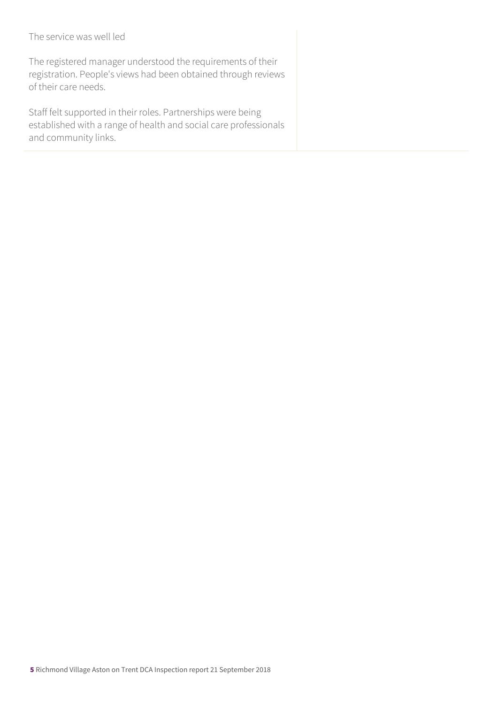#### The service was well led

The registered manager understood the requirements of their registration. People's views had been obtained through reviews of their care needs.

Staff felt supported in their roles. Partnerships were being established with a range of health and social care professionals and community links.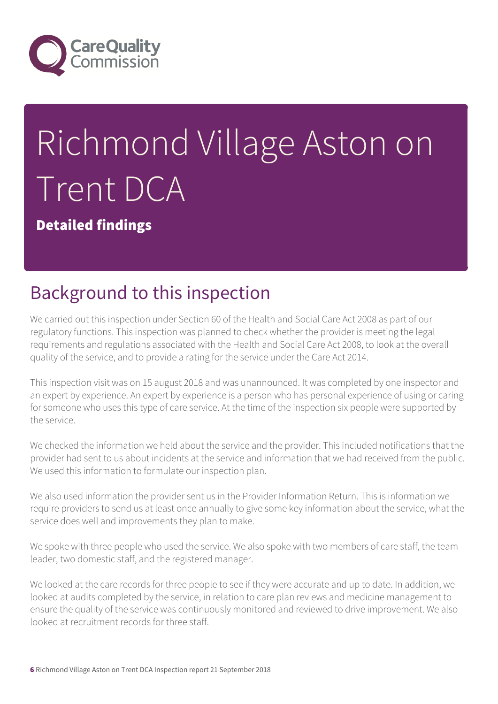

# Richmond Village Aston on Trent DCA

Detailed findings

# Background to this inspection

We carried out this inspection under Section 60 of the Health and Social Care Act 2008 as part of our regulatory functions. This inspection was planned to check whether the provider is meeting the legal requirements and regulations associated with the Health and Social Care Act 2008, to look at the overall quality of the service, and to provide a rating for the service under the Care Act 2014.

This inspection visit was on 15 august 2018 and was unannounced. It was completed by one inspector and an expert by experience. An expert by experience is a person who has personal experience of using or caring for someone who uses this type of care service. At the time of the inspection six people were supported by the service.

We checked the information we held about the service and the provider. This included notifications that the provider had sent to us about incidents at the service and information that we had received from the public. We used this information to formulate our inspection plan.

We also used information the provider sent us in the Provider Information Return. This is information we require providers to send us at least once annually to give some key information about the service, what the service does well and improvements they plan to make.

We spoke with three people who used the service. We also spoke with two members of care staff, the team leader, two domestic staff, and the registered manager.

We looked at the care records for three people to see if they were accurate and up to date. In addition, we looked at audits completed by the service, in relation to care plan reviews and medicine management to ensure the quality of the service was continuously monitored and reviewed to drive improvement. We also looked at recruitment records for three staff.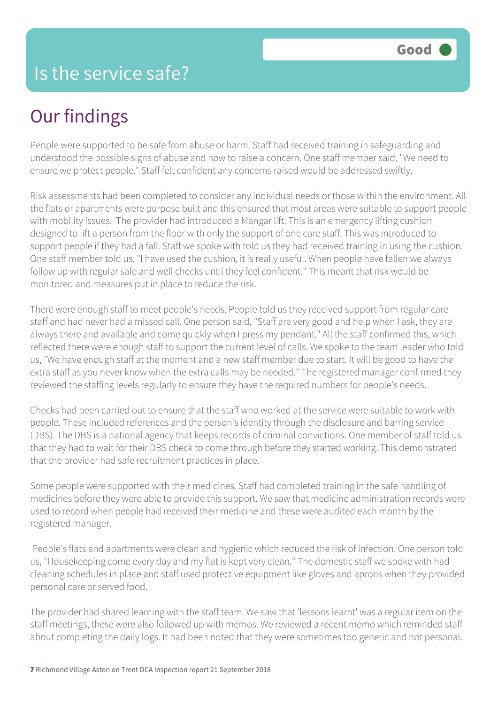#### Is the service safe?

# Our findings

People were supported to be safe from abuse or harm. Staff had received training in safeguarding and understood the possible signs of abuse and how to raise a concern. One staff member said, "We need to ensure we protect people." Staff felt confident any concerns raised would be addressed swiftly.

Risk assessments had been completed to consider any individual needs or those within the environment. All the flats or apartments were purpose built and this ensured that most areas were suitable to support people with mobility issues. The provider had introduced a Mangar lift. This is an emergency lifting cushion designed to lift a person from the floor with only the support of one care staff. This was introduced to support people if they had a fall. Staff we spoke with told us they had received training in using the cushion. One staff member told us, "I have used the cushion, it is really useful. When people have fallen we always follow up with regular safe and well checks until they feel confident." This meant that risk would be monitored and measures put in place to reduce the risk.

There were enough staff to meet people's needs. People told us they received support from regular care staff and had never had a missed call. One person said, "Staff are very good and help when I ask, they are always there and available and come quickly when I press my pendant." All the staff confirmed this, which reflected there were enough staff to support the current level of calls. We spoke to the team leader who told us, "We have enough staff at the moment and a new staff member due to start. It will be good to have the extra staff as you never know when the extra calls may be needed." The registered manager confirmed they reviewed the staffing levels regularly to ensure they have the required numbers for people's needs.

Checks had been carried out to ensure that the staff who worked at the service were suitable to work with people. These included references and the person's identity through the disclosure and barring service (DBS). The DBS is a national agency that keeps records of criminal convictions. One member of staff told us that they had to wait for their DBS check to come through before they started working. This demonstrated that the provider had safe recruitment practices in place.

Some people were supported with their medicines. Staff had completed training in the safe handling of medicines before they were able to provide this support. We saw that medicine administration records were used to record when people had received their medicine and these were audited each month by the registered manager.

 People's flats and apartments were clean and hygienic which reduced the risk of infection. One person told us, "Housekeeping come every day and my flat is kept very clean." The domestic staff we spoke with had cleaning schedules in place and staff used protective equipment like gloves and aprons when they provided personal care or served food.

The provider had shared learning with the staff team. We saw that 'lessons learnt' was a regular item on the staff meetings, these were also followed up with memos. We reviewed a recent memo which reminded staff about completing the daily logs. It had been noted that they were sometimes too generic and not personal.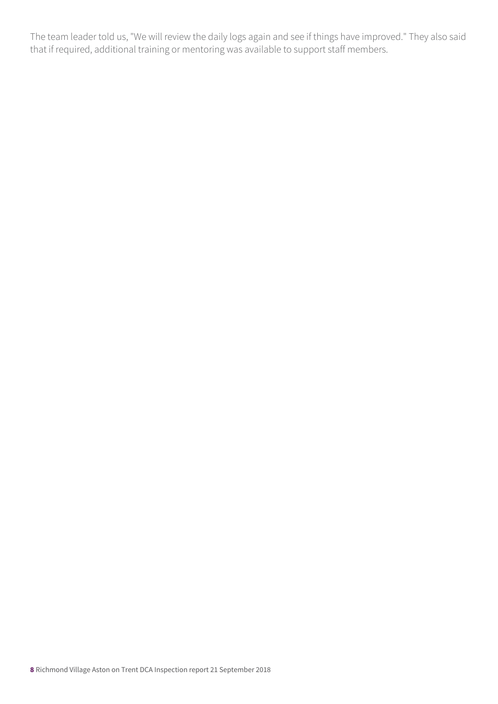The team leader told us, "We will review the daily logs again and see if things have improved." They also said that if required, additional training or mentoring was available to support staff members.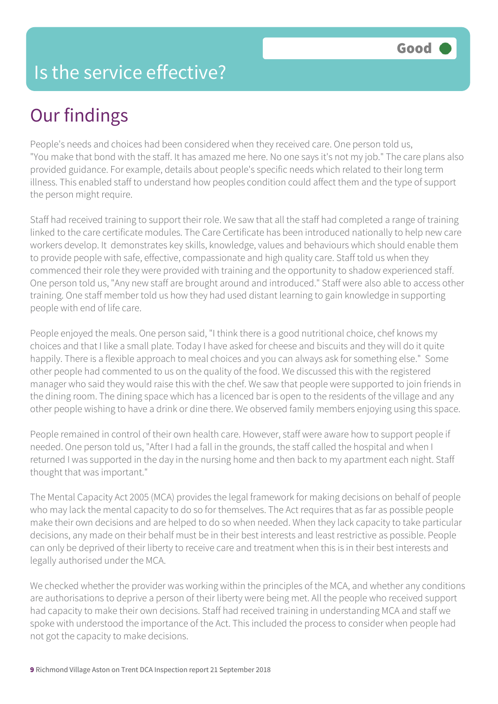#### Is the service effective?

# Our findings

People's needs and choices had been considered when they received care. One person told us, "You make that bond with the staff. It has amazed me here. No one says it's not my job." The care plans also provided guidance. For example, details about people's specific needs which related to their long term illness. This enabled staff to understand how peoples condition could affect them and the type of support the person might require.

Staff had received training to support their role. We saw that all the staff had completed a range of training linked to the care certificate modules. The Care Certificate has been introduced nationally to help new care workers develop. It demonstrates key skills, knowledge, values and behaviours which should enable them to provide people with safe, effective, compassionate and high quality care. Staff told us when they commenced their role they were provided with training and the opportunity to shadow experienced staff. One person told us, "Any new staff are brought around and introduced." Staff were also able to access other training. One staff member told us how they had used distant learning to gain knowledge in supporting people with end of life care.

People enjoyed the meals. One person said, "I think there is a good nutritional choice, chef knows my choices and that I like a small plate. Today I have asked for cheese and biscuits and they will do it quite happily. There is a flexible approach to meal choices and you can always ask for something else." Some other people had commented to us on the quality of the food. We discussed this with the registered manager who said they would raise this with the chef. We saw that people were supported to join friends in the dining room. The dining space which has a licenced bar is open to the residents of the village and any other people wishing to have a drink or dine there. We observed family members enjoying using this space.

People remained in control of their own health care. However, staff were aware how to support people if needed. One person told us, "After I had a fall in the grounds, the staff called the hospital and when I returned I was supported in the day in the nursing home and then back to my apartment each night. Staff thought that was important."

The Mental Capacity Act 2005 (MCA) provides the legal framework for making decisions on behalf of people who may lack the mental capacity to do so for themselves. The Act requires that as far as possible people make their own decisions and are helped to do so when needed. When they lack capacity to take particular decisions, any made on their behalf must be in their best interests and least restrictive as possible. People can only be deprived of their liberty to receive care and treatment when this is in their best interests and legally authorised under the MCA.

We checked whether the provider was working within the principles of the MCA, and whether any conditions are authorisations to deprive a person of their liberty were being met. All the people who received support had capacity to make their own decisions. Staff had received training in understanding MCA and staff we spoke with understood the importance of the Act. This included the process to consider when people had not got the capacity to make decisions.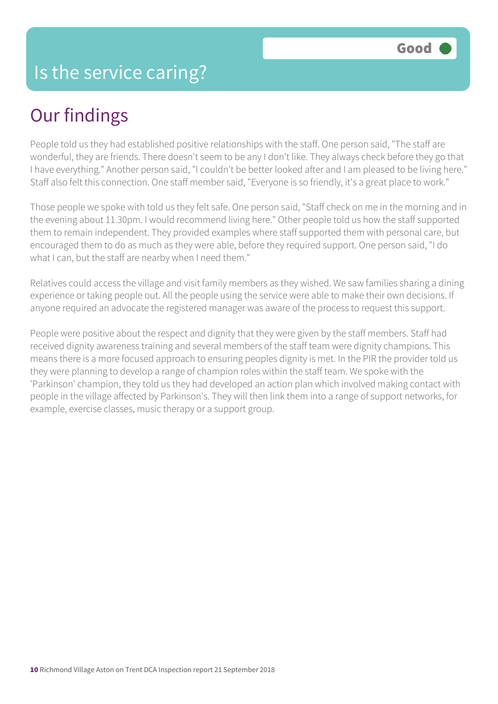# Our findings

People told us they had established positive relationships with the staff. One person said, "The staff are wonderful, they are friends. There doesn't seem to be any I don't like. They always check before they go that I have everything." Another person said, "I couldn't be better looked after and I am pleased to be living here." Staff also felt this connection. One staff member said, "Everyone is so friendly, it's a great place to work."

Those people we spoke with told us they felt safe. One person said, "Staff check on me in the morning and in the evening about 11.30pm. I would recommend living here." Other people told us how the staff supported them to remain independent. They provided examples where staff supported them with personal care, but encouraged them to do as much as they were able, before they required support. One person said, "I do what I can, but the staff are nearby when I need them."

Relatives could access the village and visit family members as they wished. We saw families sharing a dining experience or taking people out. All the people using the service were able to make their own decisions. If anyone required an advocate the registered manager was aware of the process to request this support.

People were positive about the respect and dignity that they were given by the staff members. Staff had received dignity awareness training and several members of the staff team were dignity champions. This means there is a more focused approach to ensuring peoples dignity is met. In the PIR the provider told us they were planning to develop a range of champion roles within the staff team. We spoke with the 'Parkinson' champion, they told us they had developed an action plan which involved making contact with people in the village affected by Parkinson's. They will then link them into a range of support networks, for example, exercise classes, music therapy or a support group.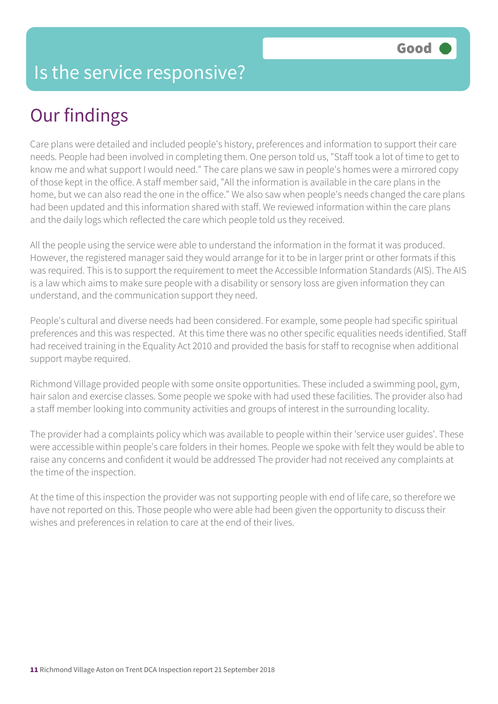#### Is the service responsive?

# Our findings

Care plans were detailed and included people's history, preferences and information to support their care needs. People had been involved in completing them. One person told us, "Staff took a lot of time to get to know me and what support I would need." The care plans we saw in people's homes were a mirrored copy of those kept in the office. A staff member said, "All the information is available in the care plans in the home, but we can also read the one in the office." We also saw when people's needs changed the care plans had been updated and this information shared with staff. We reviewed information within the care plans and the daily logs which reflected the care which people told us they received.

All the people using the service were able to understand the information in the format it was produced. However, the registered manager said they would arrange for it to be in larger print or other formats if this was required. This is to support the requirement to meet the Accessible Information Standards (AIS). The AIS is a law which aims to make sure people with a disability or sensory loss are given information they can understand, and the communication support they need.

People's cultural and diverse needs had been considered. For example, some people had specific spiritual preferences and this was respected. At this time there was no other specific equalities needs identified. Staff had received training in the Equality Act 2010 and provided the basis for staff to recognise when additional support maybe required.

Richmond Village provided people with some onsite opportunities. These included a swimming pool, gym, hair salon and exercise classes. Some people we spoke with had used these facilities. The provider also had a staff member looking into community activities and groups of interest in the surrounding locality.

The provider had a complaints policy which was available to people within their 'service user guides'. These were accessible within people's care folders in their homes. People we spoke with felt they would be able to raise any concerns and confident it would be addressed The provider had not received any complaints at the time of the inspection.

At the time of this inspection the provider was not supporting people with end of life care, so therefore we have not reported on this. Those people who were able had been given the opportunity to discuss their wishes and preferences in relation to care at the end of their lives.